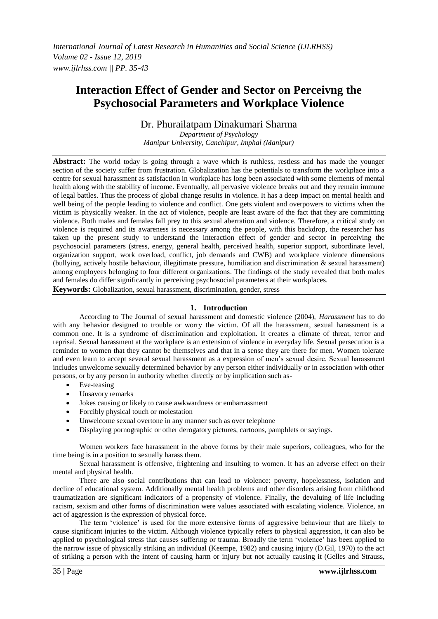# **Interaction Effect of Gender and Sector on Perceivng the Psychosocial Parameters and Workplace Violence**

Dr. Phurailatpam Dinakumari Sharma

*Department of Psychology Manipur University, Canchipur, Imphal (Manipur)* 

Abstract: The world today is going through a wave which is ruthless, restless and has made the younger section of the society suffer from frustration. Globalization has the potentials to transform the workplace into a centre for sexual harassment as satisfaction in workplace has long been associated with some elements of mental health along with the stability of income. Eventually, all pervasive violence breaks out and they remain immune of legal battles. Thus the process of global change results in violence. It has a deep impact on mental health and well being of the people leading to violence and conflict. One gets violent and overpowers to victims when the victim is physically weaker. In the act of violence, people are least aware of the fact that they are committing violence. Both males and females fall prey to this sexual aberration and violence. Therefore, a critical study on violence is required and its awareness is necessary among the people, with this backdrop, the researcher has taken up the present study to understand the interaction effect of gender and sector in perceiving the psychosocial parameters (stress, energy, general health, perceived health, superior support, subordinate level, organization support, work overload, conflict, job demands and CWB) and workplace violence dimensions (bullying, actively hostile behaviour, illegitimate pressure, humiliation and discrimination & sexual harassment) among employees belonging to four different organizations. The findings of the study revealed that both males and females do differ significantly in perceiving psychosocial parameters at their workplaces.

**Keywords:** Globalization, sexual harassment, discrimination, gender, stress

#### **1. Introduction**

According to The Journal of sexual harassment and domestic violence (2004), *Harassment* has to do with any behavior designed to trouble or worry the victim. Of all the harassment, sexual harassment is a common one. It is a syndrome of discrimination and exploitation. It creates a climate of threat, terror and reprisal. Sexual harassment at the workplace is an extension of violence in everyday life. Sexual persecution is a reminder to women that they cannot be themselves and that in a sense they are there for men. Women tolerate and even learn to accept several sexual harassment as a expression of men"s sexual desire. Sexual harassment includes unwelcome sexually determined behavior by any person either individually or in association with other persons, or by any person in authority whether directly or by implication such as-

- Eve-teasing
- Unsavory remarks
- Jokes causing or likely to cause awkwardness or embarrassment
- Forcibly physical touch or molestation
- Unwelcome sexual overtone in any manner such as over telephone
- Displaying pornographic or other derogatory pictures, cartoons, pamphlets or sayings.

Women workers face harassment in the above forms by their male superiors, colleagues, who for the time being is in a position to sexually harass them.

Sexual harassment is offensive, frightening and insulting to women. It has an adverse effect on their mental and physical health.

There are also social contributions that can lead to violence: poverty, hopelessness, isolation and decline of educational system. Additionally mental health problems and other disorders arising from childhood traumatization are significant indicators of a propensity of violence. Finally, the devaluing of life including racism, sexism and other forms of discrimination were values associated with escalating violence. Violence, an act of aggression is the expression of physical force.

The term 'violence' is used for the more extensive forms of aggressive behaviour that are likely to cause significant injuries to the victim. Although violence typically refers to physical aggression, it can also be applied to psychological stress that causes suffering or trauma. Broadly the term "violence" has been applied to the narrow issue of physically striking an individual (Keempe, 1982) and causing injury (D.Gil, 1970) to the act of striking a person with the intent of causing harm or injury but not actually causing it (Gelles and Strauss,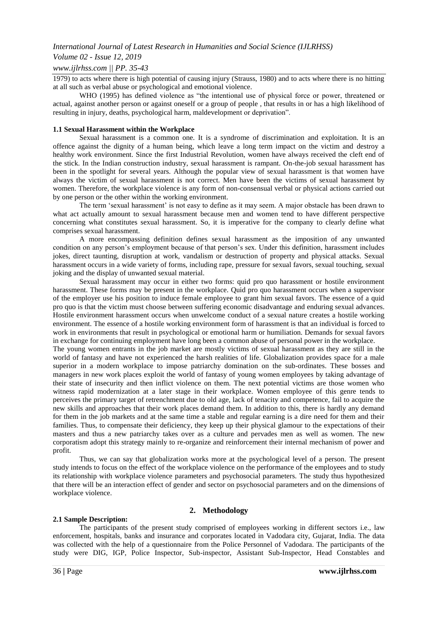## *Volume 02 - Issue 12, 2019*

## *www.ijlrhss.com || PP. 35-43*

1979) to acts where there is high potential of causing injury (Strauss, 1980) and to acts where there is no hitting at all such as verbal abuse or psychological and emotional violence.

WHO (1995) has defined violence as "the intentional use of physical force or power, threatened or actual, against another person or against oneself or a group of people , that results in or has a high likelihood of resulting in injury, deaths, psychological harm, maldevelopment or deprivation".

#### **1.1 Sexual Harassment within the Workplace**

Sexual harassment is a common one. It is a syndrome of discrimination and exploitation. It is an offence against the dignity of a human being, which leave a long term impact on the victim and destroy a healthy work environment. Since the first Industrial Revolution, women have always received the cleft end of the stick. In the Indian construction industry, sexual harassment is rampant. On-the-job sexual harassment has been in the spotlight for several years. Although the popular view of sexual harassment is that women have always the victim of sexual harassment is not correct. Men have been the victims of sexual harassment by women. Therefore, the workplace violence is any form of non-consensual verbal or physical actions carried out by one person or the other within the working environment.

The term 'sexual harassment' is not easy to define as it may seem. A major obstacle has been drawn to what act actually amount to sexual harassment because men and women tend to have different perspective concerning what constitutes sexual harassment. So, it is imperative for the company to clearly define what comprises sexual harassment.

A more encompassing definition defines sexual harassment as the imposition of any unwanted condition on any person"s employment because of that person"s sex. Under this definition, harassment includes jokes, direct taunting, disruption at work, vandalism or destruction of property and physical attacks. Sexual harassment occurs in a wide variety of forms, including rape, pressure for sexual favors, sexual touching, sexual joking and the display of unwanted sexual material.

Sexual harassment may occur in either two forms: quid pro quo harassment or hostile environment harassment. These forms may be present in the workplace. Quid pro quo harassment occurs when a supervisor of the employer use his position to induce female employee to grant him sexual favors. The essence of a quid pro quo is that the victim must choose between suffering economic disadvantage and enduring sexual advances. Hostile environment harassment occurs when unwelcome conduct of a sexual nature creates a hostile working environment. The essence of a hostile working environment form of harassment is that an individual is forced to work in environments that result in psychological or emotional harm or humiliation. Demands for sexual favors in exchange for continuing employment have long been a common abuse of personal power in the workplace.

The young women entrants in the job market are mostly victims of sexual harassment as they are still in the world of fantasy and have not experienced the harsh realities of life. Globalization provides space for a male superior in a modern workplace to impose patriarchy domination on the sub-ordinates. These bosses and managers in new work places exploit the world of fantasy of young women employees by taking advantage of their state of insecurity and then inflict violence on them. The next potential victims are those women who witness rapid modernization at a later stage in their workplace. Women employee of this genre tends to perceives the primary target of retrenchment due to old age, lack of tenacity and competence, fail to acquire the new skills and approaches that their work places demand them. In addition to this, there is hardly any demand for them in the job markets and at the same time a stable and regular earning is a dire need for them and their families. Thus, to compensate their deficiency, they keep up their physical glamour to the expectations of their masters and thus a new patriarchy takes over as a culture and pervades men as well as women. The new corporatism adopt this strategy mainly to re-organize and reinforcement their internal mechanism of power and profit.

Thus, we can say that globalization works more at the psychological level of a person. The present study intends to focus on the effect of the workplace violence on the performance of the employees and to study its relationship with workplace violence parameters and psychosocial parameters. The study thus hypothesized that there will be an interaction effect of gender and sector on psychosocial parameters and on the dimensions of workplace violence.

## **2. Methodology**

#### **2.1 Sample Description:**

The participants of the present study comprised of employees working in different sectors i.e., law enforcement, hospitals, banks and insurance and corporates located in Vadodara city, Gujarat, India. The data was collected with the help of a questionnaire from the Police Personnel of Vadodara. The participants of the study were DIG, IGP, Police Inspector, Sub-inspector, Assistant Sub-Inspector, Head Constables and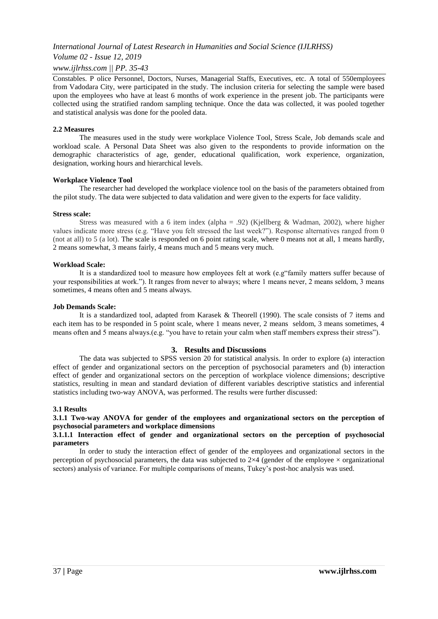## *Volume 02 - Issue 12, 2019*

## *www.ijlrhss.com || PP. 35-43*

Constables. P olice Personnel, Doctors, Nurses, Managerial Staffs, Executives, etc. A total of 550employees from Vadodara City, were participated in the study. The inclusion criteria for selecting the sample were based upon the employees who have at least 6 months of work experience in the present job. The participants were collected using the stratified random sampling technique. Once the data was collected, it was pooled together and statistical analysis was done for the pooled data.

## **2.2 Measures**

The measures used in the study were workplace Violence Tool, Stress Scale, Job demands scale and workload scale. A Personal Data Sheet was also given to the respondents to provide information on the demographic characteristics of age, gender, educational qualification, work experience, organization, designation, working hours and hierarchical levels.

#### **Workplace Violence Tool**

The researcher had developed the workplace violence tool on the basis of the parameters obtained from the pilot study. The data were subjected to data validation and were given to the experts for face validity.

#### **Stress scale:**

Stress was measured with a 6 item index (alpha = .92) (Kjellberg & Wadman, 2002), where higher values indicate more stress (e.g. "Have you felt stressed the last week?"). Response alternatives ranged from 0 (not at all) to 5 (a lot). The scale is responded on 6 point rating scale, where 0 means not at all, 1 means hardly, 2 means somewhat, 3 means fairly, 4 means much and 5 means very much.

## **Workload Scale:**

It is a standardized tool to measure how employees felt at work (e.g"family matters suffer because of your responsibilities at work."). It ranges from never to always; where 1 means never, 2 means seldom, 3 means sometimes, 4 means often and 5 means always.

#### **Job Demands Scale:**

It is a standardized tool, adapted from Karasek & Theorell (1990). The scale consists of 7 items and each item has to be responded in 5 point scale, where 1 means never, 2 means seldom, 3 means sometimes, 4 means often and 5 means always.(e.g. "you have to retain your calm when staff members express their stress").

## **3. Results and Discussions**

The data was subjected to SPSS version 20 for statistical analysis. In order to explore (a) interaction effect of gender and organizational sectors on the perception of psychosocial parameters and (b) interaction effect of gender and organizational sectors on the perception of workplace violence dimensions; descriptive statistics, resulting in mean and standard deviation of different variables descriptive statistics and inferential statistics including two-way ANOVA, was performed. The results were further discussed:

#### **3.1 Results**

#### **3.1.1 Two-way ANOVA for gender of the employees and organizational sectors on the perception of psychosocial parameters and workplace dimensions**

#### **3.1.1.1 Interaction effect of gender and organizational sectors on the perception of psychosocial parameters**

In order to study the interaction effect of gender of the employees and organizational sectors in the perception of psychosocial parameters, the data was subjected to  $2\times4$  (gender of the employee  $\times$  organizational sectors) analysis of variance. For multiple comparisons of means, Tukey"s post-hoc analysis was used.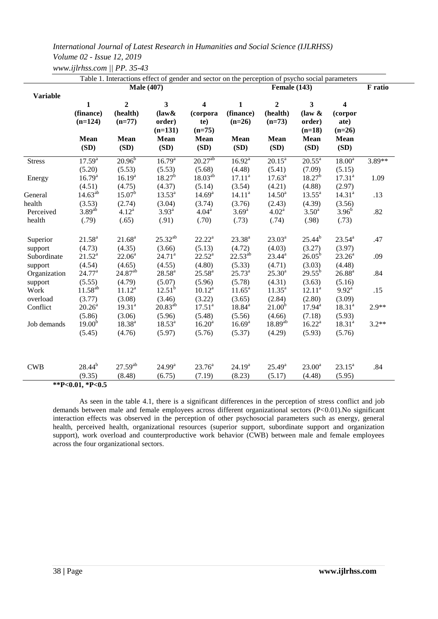*Volume 02 - Issue 12, 2019*

|                 |                    | Table 1. Interactions effect of gender and sector on the perception of psycho social parameters |                                 |                     |                    |                    |                         |                         |          |  |
|-----------------|--------------------|-------------------------------------------------------------------------------------------------|---------------------------------|---------------------|--------------------|--------------------|-------------------------|-------------------------|----------|--|
|                 | <b>Male</b> (407)  |                                                                                                 |                                 |                     |                    |                    | F ratio                 |                         |          |  |
| <b>Variable</b> |                    |                                                                                                 |                                 |                     |                    |                    |                         |                         |          |  |
|                 | $\mathbf{1}$       | $\overline{2}$                                                                                  | $\overline{\mathbf{3}}$         | 4                   | $\mathbf{1}$       | $\overline{2}$     | $\overline{\mathbf{3}}$ | $\overline{\mathbf{4}}$ |          |  |
|                 | (finance)          | (health)                                                                                        | $\langle \text{law}\mathbf{\&}$ | (corpora            | (finance)          | (health)           | (law $\&$               | (corpor                 |          |  |
|                 | $(n=124)$          | $(n=77)$                                                                                        | order)<br>$(n=131)$             | te)<br>$(n=75)$     | $(n=26)$           | $(n=73)$           | order)<br>$(n=18)$      | ate)<br>$(n=26)$        |          |  |
|                 | <b>Mean</b>        | Mean                                                                                            | <b>Mean</b>                     | Mean                | Mean               | <b>Mean</b>        | Mean                    | <b>Mean</b>             |          |  |
|                 | (SD)               | (SD)                                                                                            | (SD)                            | (SD)                | (SD)               | (SD)               | (SD)                    | (SD)                    |          |  |
| <b>Stress</b>   | $17.59^{a}$        | $20.96^{b}$                                                                                     | $16.79^{a}$                     | $20.27^{ab}$        | 16.92 <sup>a</sup> | $20.15^{\circ}$    | $20.55^{\text{a}}$      | $18.00^{a}$             | $3.89**$ |  |
|                 | (5.20)             | (5.53)                                                                                          | (5.53)                          | (5.68)              | (4.48)             | (5.41)             | (7.09)                  | (5.15)                  |          |  |
| Energy          | $16.79^{a}$        | $16.19^{a}$                                                                                     | $18.27^{b}$                     | 18.03 <sup>ab</sup> | $17.11^{\rm a}$    | $17.63^{\circ}$    | $18.27^{b}$             | $17.31^{a}$             | 1.09     |  |
|                 | (4.51)             | (4.75)                                                                                          | (4.37)                          | (5.14)              | (3.54)             | (4.21)             | (4.88)                  | (2.97)                  |          |  |
| General         | $14.63^{ab}$       | $15.07^{b}$                                                                                     | $13.53^{a}$                     | 14.69 <sup>a</sup>  | 14.11 <sup>a</sup> | 14.50 <sup>a</sup> | $13.55^a$               | 14.31 <sup>a</sup>      | .13      |  |
| health          | (3.53)             | (2.74)                                                                                          | (3.04)                          | (3.74)              | (3.76)             | (2.43)             | (4.39)                  | (3.56)                  |          |  |
| Perceived       | $3.89^{ab}$        | $4.12^a$                                                                                        | 3.93 <sup>a</sup>               | 4.04 <sup>a</sup>   | 3.69 <sup>a</sup>  | 4.02 <sup>a</sup>  | 3.50 <sup>a</sup>       | $3.96^{b}$              | .82      |  |
| health          | (.79)              | (.65)                                                                                           | (.91)                           | (.70)               | (.73)              | (.74)              | (.98)                   | (.73)                   |          |  |
| Superior        | $21.58^{\rm a}$    | $21.68^a$                                                                                       | $25.32^{ab}$                    | $22.22^a$           | $23.38^{a}$        | $23.03^a$          | $25.44^{b}$             | $23.54^{\circ}$         | .47      |  |
| support         | (4.73)             | (4.35)                                                                                          | (3.66)                          | (5.13)              | (4.72)             | (4.03)             | (3.27)                  | (3.97)                  |          |  |
| Subordinate     | $21.52^a$          | $22.06^a$                                                                                       | $24.71^a$                       | $22.52^a$           | $22.53^{ab}$       | $23.44^{\rm a}$    | $26.05^{b}$             | $23.26^a$               | .09      |  |
| support         | (4.54)             | (4.65)                                                                                          | (4.55)                          | (4.80)              | (5.33)             | (4.71)             | (3.03)                  | (4.48)                  |          |  |
| Organization    | $24.77^{\rm a}$    | 24.87 <sup>ab</sup>                                                                             | $28.58^{a}$                     | $25.58^{a}$         | $25.73^{\rm a}$    | $25.30^{a}$        | $29.55^{b}$             | $26.88^{a}$             | .84      |  |
| support         | (5.55)             | (4.79)                                                                                          | (5.07)                          | (5.96)              | (5.78)             | (4.31)             | (3.63)                  | (5.16)                  |          |  |
| Work            | $11.58^{ab}$       | $11.12^{a}$                                                                                     | $12.51^{b}$                     | $10.12^a$           | $11.65^{\circ}$    | $11.35^{\circ}$    | $12.11^a$               | $9.92^{\rm a}$          | .15      |  |
| overload        | (3.77)             | (3.08)                                                                                          | (3.46)                          | (3.22)              | (3.65)             | (2.84)             | (2.80)                  | (3.09)                  |          |  |
| Conflict        | $20.26^a$          | $19.31^{a}$                                                                                     | $20.83^{ab}$                    | $17.51^a$           | $18.84^{a}$        | 21.00 <sup>b</sup> | $17.94^{\rm a}$         | 18.31 <sup>a</sup>      | $2.9**$  |  |
|                 | (5.86)             | (3.06)                                                                                          | (5.96)                          | (5.48)              | (5.56)             | (4.66)             | (7.18)                  | (5.93)                  |          |  |
| Job demands     | 19.00 <sup>b</sup> | $18.38^{a}$                                                                                     | $18.53^{a}$                     | $16.20^a$           | $16.69^{\rm a}$    | $18.89^{ab}$       | $16.22^{\rm a}$         | $18.31^{a}$             | $3.2**$  |  |
|                 | (5.45)             | (4.76)                                                                                          | (5.97)                          | (5.76)              | (5.37)             | (4.29)             | (5.93)                  | (5.76)                  |          |  |
|                 |                    |                                                                                                 |                                 |                     |                    |                    |                         |                         |          |  |
| <b>CWB</b>      | $28.44^{b}$        | $27.59^{ab}$                                                                                    | $24.99^{\rm a}$                 | $23.76^a$           | $24.19^{a}$        | $25.49^{\rm a}$    | $23.00^a$               | $23.15^a$               | .84      |  |
|                 | (9.35)             | (8.48)                                                                                          | (6.75)                          | (7.19)              | (8.23)             | (5.17)             | (4.48)                  | (5.95)                  |          |  |
|                 | **P<0.01, *P<0.5   |                                                                                                 |                                 |                     |                    |                    |                         |                         |          |  |

As seen in the table 4.1, there is a significant differences in the perception of stress conflict and job demands between male and female employees across different organizational sectors (P<0.01).No significant interaction effects was observed in the perception of other psychosocial parameters such as energy, general health, perceived health, organizational resources (superior support, subordinate support and organization support), work overload and counterproductive work behavior (CWB) between male and female employees across the four organizational sectors.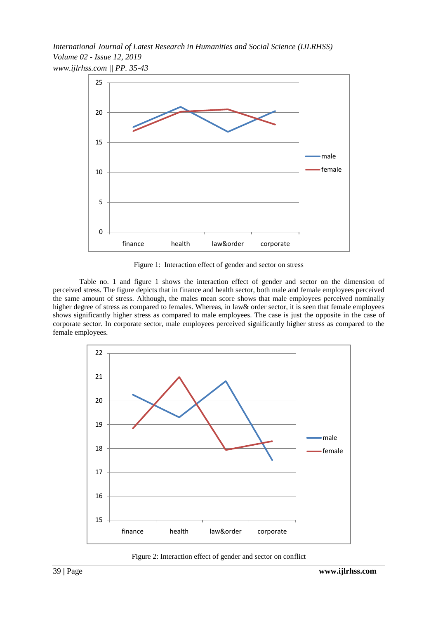*International Journal of Latest Research in Humanities and Social Science (IJLRHSS) Volume 02 - Issue 12, 2019 www.ijlrhss.com || PP. 35-43*



Figure 1: Interaction effect of gender and sector on stress

Table no. 1 and figure 1 shows the interaction effect of gender and sector on the dimension of perceived stress. The figure depicts that in finance and health sector, both male and female employees perceived the same amount of stress. Although, the males mean score shows that male employees perceived nominally higher degree of stress as compared to females. Whereas, in law & order sector, it is seen that female employees shows significantly higher stress as compared to male employees. The case is just the opposite in the case of corporate sector. In corporate sector, male employees perceived significantly higher stress as compared to the female employees.



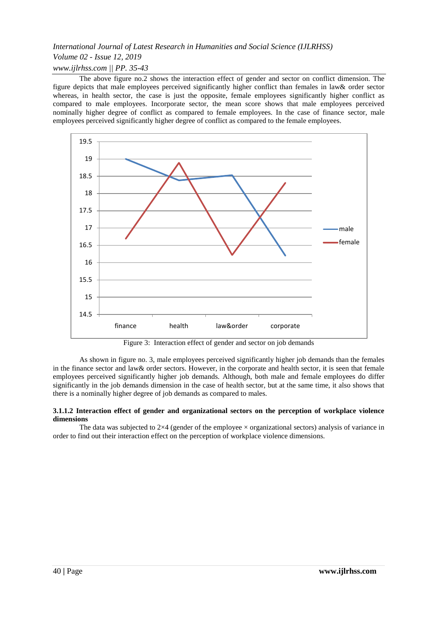## *Volume 02 - Issue 12, 2019 www.ijlrhss.com || PP. 35-43*

The above figure no.2 shows the interaction effect of gender and sector on conflict dimension. The figure depicts that male employees perceived significantly higher conflict than females in law& order sector whereas, in health sector, the case is just the opposite, female employees significantly higher conflict as compared to male employees. Incorporate sector, the mean score shows that male employees perceived nominally higher degree of conflict as compared to female employees. In the case of finance sector, male employees perceived significantly higher degree of conflict as compared to the female employees.



Figure 3: Interaction effect of gender and sector on job demands

As shown in figure no. 3, male employees perceived significantly higher job demands than the females in the finance sector and law& order sectors. However, in the corporate and health sector, it is seen that female employees perceived significantly higher job demands. Although, both male and female employees do differ significantly in the job demands dimension in the case of health sector, but at the same time, it also shows that there is a nominally higher degree of job demands as compared to males.

#### **3.1.1.2 Interaction effect of gender and organizational sectors on the perception of workplace violence dimensions**

The data was subjected to  $2\times4$  (gender of the employee  $\times$  organizational sectors) analysis of variance in order to find out their interaction effect on the perception of workplace violence dimensions.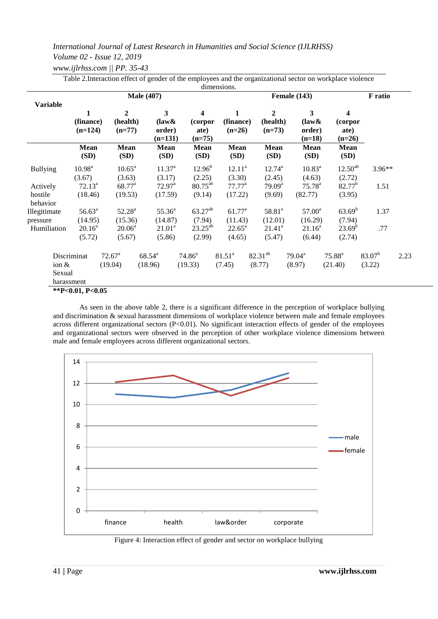*Volume 02 - Issue 12, 2019*

*www.ijlrhss.com || PP. 35-43*

Table 2.Interaction effect of gender of the employees and the organizational sector on workplace violence

|                     |                             |                                      | <b>Male</b> (407)                                           | dimensions.                      |                            | <b>Female (143)</b>                    |                                                            |                                  |           |      |
|---------------------|-----------------------------|--------------------------------------|-------------------------------------------------------------|----------------------------------|----------------------------|----------------------------------------|------------------------------------------------------------|----------------------------------|-----------|------|
| <b>Variable</b>     |                             |                                      |                                                             |                                  |                            |                                        | F ratio                                                    |                                  |           |      |
|                     | 1<br>(finance)<br>$(n=124)$ | $\mathbf{2}$<br>(health)<br>$(n=77)$ | 3<br>$\langle \text{law}\mathbf{\&}$<br>order)<br>$(n=131)$ | 4<br>(corpor<br>ate)<br>$(n=75)$ | 1<br>(finance)<br>$(n=26)$ | $\overline{2}$<br>(health)<br>$(n=73)$ | 3<br>$\langle \text{law}\mathbf{\&}$<br>order)<br>$(n=18)$ | 4<br>(corpor<br>ate)<br>$(n=26)$ |           |      |
|                     | <b>Mean</b><br>(SD)         | Mean<br>(SD)                         | <b>Mean</b><br>(SD)                                         | Mean<br>(SD)                     | <b>Mean</b><br>(SD)        | <b>Mean</b><br>(SD)                    | <b>Mean</b><br>(SD)                                        | <b>Mean</b><br>(SD)              |           |      |
| <b>Bullying</b>     | 10.98 <sup>a</sup>          | $10.65^{\text{a}}$                   | 11.37 <sup>a</sup>                                          | $12.96^{b}$                      | $12.11^a$                  | $12.74^{\circ}$                        | $10.83^{\text{a}}$                                         | $12.50^{ab}$                     | $3.96**$  |      |
|                     | (3.67)                      | (3.63)                               | (3.17)                                                      | (2.25)                           | (3.30)                     | (2.45)                                 | (4.63)                                                     | (2.72)                           |           |      |
| Actively            | $72.13^a$                   | $68.77^{\text{a}}$                   | $72.97^{\text{a}}$                                          | $80.75^{ab}$                     | $77.77^{\rm a}$            | 79.09 <sup>a</sup>                     | $75.78^{a}$                                                | 82.77 <sup>b</sup>               | 1.51      |      |
| hostile<br>behavior | (18.46)                     | (19.53)                              | (17.59)                                                     | (9.14)                           | (17.22)                    | (9.69)                                 | (82.77)                                                    | (3.95)                           |           |      |
| Illegitimate        | $56.63^{\circ}$             | $52.28^{\rm a}$                      | $55.36^{\circ}$                                             | $63.27^{ab}$                     | $61.77^{\rm a}$            | $58.81^{a}$                            | $57.00^a$                                                  | 63.69 <sup>b</sup>               | 1.37      |      |
| pressure            | (14.95)                     | (15.36)                              | (14.87)                                                     | (7.94)                           | (11.43)                    | (12.01)                                | (16.29)                                                    | (7.94)                           |           |      |
| Humiliation         | $20.16^a$                   | $20.06^a$                            | $21.01^a$                                                   | $23.25^{ab}$                     | $22.65^{\circ}$            | $21.41^a$                              | $21.16^a$                                                  | $23.69^b$                        | .77       |      |
|                     | (5.72)                      | (5.67)                               | (5.86)                                                      | (2.99)                           | (4.65)                     | (5.47)                                 | (6.44)                                                     | (2.74)                           |           |      |
|                     | Discriminat                 | $72.67^{\rm a}$                      | $68.54^{\circ}$                                             | $74.86^a$                        | 81.51 <sup>a</sup>         | $82.31^{ab}$                           | $79.04^{\rm a}$                                            | $75.88^{a}$                      | $83.07^b$ | 2.23 |
| ion $\&$<br>Sexual  |                             | (19.04)                              | (18.96)                                                     | (19.33)                          | (7.45)                     | (8.77)                                 | (8.97)                                                     | (21.40)                          | (3.22)    |      |
|                     | harassment                  |                                      |                                                             |                                  |                            |                                        |                                                            |                                  |           |      |
|                     | $22D$ $0.01$ $D$ $0.07$     |                                      |                                                             |                                  |                            |                                        |                                                            |                                  |           |      |

**\*\*P<0.01, P<0.05**

As seen in the above table 2, there is a significant difference in the perception of workplace bullying and discrimination & sexual harassment dimensions of workplace violence between male and female employees across different organizational sectors (P<0.01). No significant interaction effects of gender of the employees and organizational sectors were observed in the perception of other workplace violence dimensions between male and female employees across different organizational sectors.



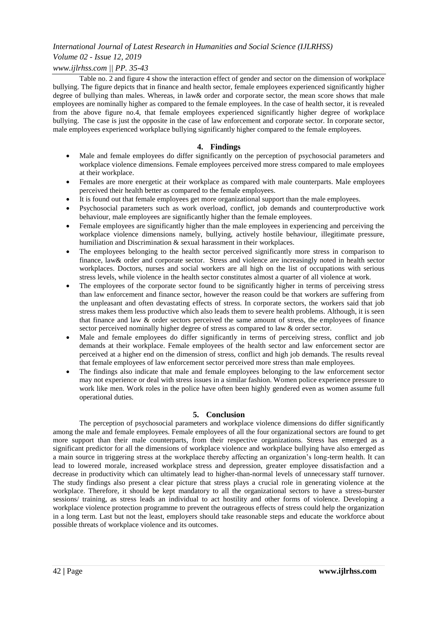## *Volume 02 - Issue 12, 2019*

## *www.ijlrhss.com || PP. 35-43*

Table no. 2 and figure 4 show the interaction effect of gender and sector on the dimension of workplace bullying. The figure depicts that in finance and health sector, female employees experienced significantly higher degree of bullying than males. Whereas, in law& order and corporate sector, the mean score shows that male employees are nominally higher as compared to the female employees. In the case of health sector, it is revealed from the above figure no.4, that female employees experienced significantly higher degree of workplace bullying. The case is just the opposite in the case of law enforcement and corporate sector. In corporate sector, male employees experienced workplace bullying significantly higher compared to the female employees.

## **4. Findings**

- Male and female employees do differ significantly on the perception of psychosocial parameters and workplace violence dimensions. Female employees perceived more stress compared to male employees at their workplace.
- Females are more energetic at their workplace as compared with male counterparts. Male employees perceived their health better as compared to the female employees.
- It is found out that female employees get more organizational support than the male employees.
- Psychosocial parameters such as work overload, conflict, job demands and counterproductive work behaviour, male employees are significantly higher than the female employees.
- Female employees are significantly higher than the male employees in experiencing and perceiving the workplace violence dimensions namely, bullying, actively hostile behaviour, illegitimate pressure, humiliation and Discrimination & sexual harassment in their workplaces.
- The employees belonging to the health sector perceived significantly more stress in comparison to finance, law& order and corporate sector. Stress and violence are increasingly noted in health sector workplaces. Doctors, nurses and social workers are all high on the list of occupations with serious stress levels, while violence in the health sector constitutes almost a quarter of all violence at work.
- The employees of the corporate sector found to be significantly higher in terms of perceiving stress than law enforcement and finance sector, however the reason could be that workers are suffering from the unpleasant and often devastating effects of stress. In corporate sectors, the workers said that job stress makes them less productive which also leads them to severe health problems. Although, it is seen that finance and law & order sectors perceived the same amount of stress, the employees of finance sector perceived nominally higher degree of stress as compared to law & order sector.
- Male and female employees do differ significantly in terms of perceiving stress, conflict and job demands at their workplace. Female employees of the health sector and law enforcement sector are perceived at a higher end on the dimension of stress, conflict and high job demands. The results reveal that female employees of law enforcement sector perceived more stress than male employees.
- The findings also indicate that male and female employees belonging to the law enforcement sector may not experience or deal with stress issues in a similar fashion. Women police experience pressure to work like men. Work roles in the police have often been highly gendered even as women assume full operational duties.

## **5. Conclusion**

The perception of psychosocial parameters and workplace violence dimensions do differ significantly among the male and female employees. Female employees of all the four organizational sectors are found to get more support than their male counterparts, from their respective organizations. Stress has emerged as a significant predictor for all the dimensions of workplace violence and workplace bullying have also emerged as a main source in triggering stress at the workplace thereby affecting an organization"s long-term health. It can lead to lowered morale, increased workplace stress and depression, greater employee dissatisfaction and a decrease in productivity which can ultimately lead to higher-than-normal levels of unnecessary staff turnover. The study findings also present a clear picture that stress plays a crucial role in generating violence at the workplace. Therefore, it should be kept mandatory to all the organizational sectors to have a stress-burster sessions/ training, as stress leads an individual to act hostility and other forms of violence. Developing a workplace violence protection programme to prevent the outrageous effects of stress could help the organization in a long term. Last but not the least, employers should take reasonable steps and educate the workforce about possible threats of workplace violence and its outcomes.